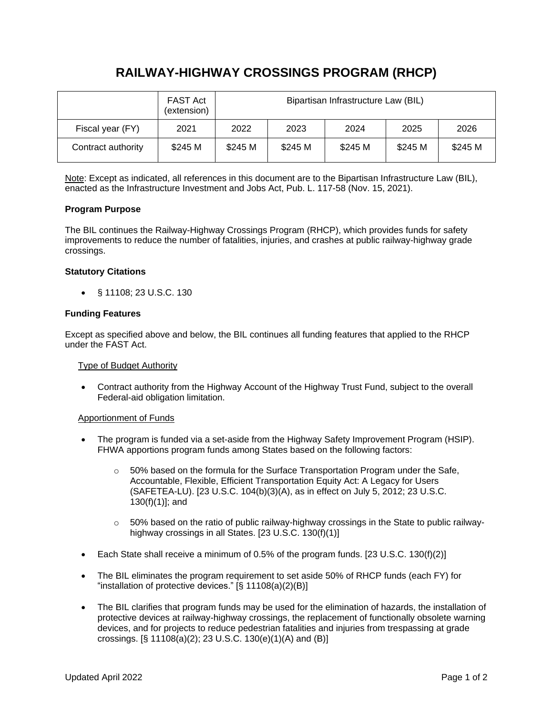# **RAILWAY-HIGHWAY CROSSINGS PROGRAM (RHCP)**

|                    | <b>FAST Act</b><br>(extension) | Bipartisan Infrastructure Law (BIL) |         |         |         |         |
|--------------------|--------------------------------|-------------------------------------|---------|---------|---------|---------|
| Fiscal year (FY)   | 2021                           | 2022                                | 2023    | 2024    | 2025    | 2026    |
| Contract authority | \$245 M                        | \$245 M                             | \$245 M | \$245 M | \$245 M | \$245 M |

Note: Except as indicated, all references in this document are to the Bipartisan Infrastructure Law (BIL), enacted as the Infrastructure Investment and Jobs Act, Pub. L. 117-58 (Nov. 15, 2021).

## **Program Purpose**

The BIL continues the Railway-Highway Crossings Program (RHCP), which provides funds for safety improvements to reduce the number of fatalities, injuries, and crashes at public railway-highway grade crossings.

## **Statutory Citations**

• § 11108; 23 U.S.C. 130

## **Funding Features**

Except as specified above and below, the BIL continues all funding features that applied to the RHCP under the FAST Act.

## Type of Budget Authority

• Contract authority from the Highway Account of the Highway Trust Fund, subject to the overall Federal-aid obligation limitation.

## Apportionment of Funds

- The program is funded via a set-aside from the Highway Safety Improvement Program (HSIP). FHWA apportions program funds among States based on the following factors:
	- $\circ$  50% based on the formula for the Surface Transportation Program under the Safe, Accountable, Flexible, Efficient Transportation Equity Act: A Legacy for Users (SAFETEA-LU). [23 U.S.C. 104(b)(3)(A), as in effect on July 5, 2012; 23 U.S.C. 130(f)(1)]; and
	- $\circ$  50% based on the ratio of public railway-highway crossings in the State to public railwayhighway crossings in all States. [23 U.S.C. 130(f)(1)]
- Each State shall receive a minimum of 0.5% of the program funds. [23 U.S.C. 130(f)(2)]
- The BIL eliminates the program requirement to set aside 50% of RHCP funds (each FY) for "installation of protective devices." [§ 11108(a)(2)(B)]
- The BIL clarifies that program funds may be used for the elimination of hazards, the installation of protective devices at railway-highway crossings, the replacement of functionally obsolete warning devices, and for projects to reduce pedestrian fatalities and injuries from trespassing at grade crossings. [§ 11108(a)(2); 23 U.S.C. 130(e)(1)(A) and (B)]